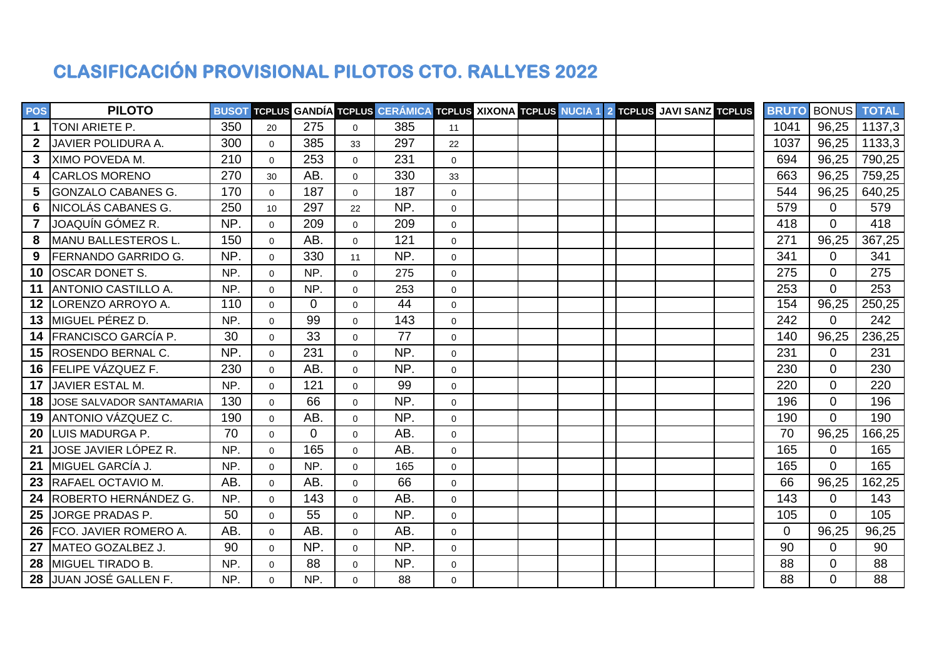## **CLASIFICACIÓN PROVISIONAL PILOTOS CTO. RALLYES 2022**

| <b>POS</b>        | <b>PILOTO</b>                   |     |                |                |                | BUSOT TCPLUS GANDÍA TCPLUS CERÁMICA TCPLUS XIXONA TCPLUS NUCIA 1 2 TCPLUS JAVI SANZ TCPLUS |              |  |  |  | <b>BRUTO</b> | <b>BONUS TOTAL</b> |        |
|-------------------|---------------------------------|-----|----------------|----------------|----------------|--------------------------------------------------------------------------------------------|--------------|--|--|--|--------------|--------------------|--------|
| $\mathbf 1$       | TONI ARIETE P.                  | 350 | 20             | 275            | $\overline{0}$ | 385                                                                                        | 11           |  |  |  | 1041         | 96,25              | 1137,3 |
| $\mathbf{2}$      | JAVIER POLIDURA A.              | 300 | $\overline{0}$ | 385            | 33             | 297                                                                                        | 22           |  |  |  | 1037         | 96,25              | 1133,3 |
| 3                 | XIMO POVEDA M.                  | 210 | $\Omega$       | 253            | $\overline{0}$ | 231                                                                                        | $\mathbf{0}$ |  |  |  | 694          | 96,25              | 790,25 |
| 4                 | <b>CARLOS MORENO</b>            | 270 | 30             | AB.            | $\Omega$       | 330                                                                                        | 33           |  |  |  | 663          | 96,25              | 759,25 |
| 5                 | <b>GONZALO CABANES G.</b>       | 170 | $\Omega$       | 187            | $\Omega$       | 187                                                                                        | $\Omega$     |  |  |  | 544          | 96,25              | 640,25 |
| 6                 | INICOLÁS CABANES G.             | 250 | 10             | 297            | 22             | NP.                                                                                        | $\Omega$     |  |  |  | 579          | $\Omega$           | 579    |
| $\overline{7}$    | JOAQUÍN GÓMEZ R.                | NP. | $\Omega$       | 209            | $\Omega$       | 209                                                                                        | $\Omega$     |  |  |  | 418          | $\Omega$           | 418    |
| 8                 | <b>IMANU BALLESTEROS L.</b>     | 150 | $\Omega$       | AB.            | $\Omega$       | 121                                                                                        | $\mathbf 0$  |  |  |  | 271          | 96,25              | 367,25 |
| 9                 | <b>IFERNANDO GARRIDO G.</b>     | NP. | $\Omega$       | 330            | 11             | NP.                                                                                        | $\Omega$     |  |  |  | 341          | $\Omega$           | 341    |
| 10                | <b>OSCAR DONET S.</b>           | NP. | $\Omega$       | NP.            | $\mathbf 0$    | 275                                                                                        | $\Omega$     |  |  |  | 275          | $\Omega$           | 275    |
|                   | <b>11 JANTONIO CASTILLO A.</b>  | NP. | $\Omega$       | NP.            | $\Omega$       | 253                                                                                        | $\Omega$     |  |  |  | 253          | $\Omega$           | 253    |
| $12 \overline{ }$ | LORENZO ARROYO A.               | 110 | $\Omega$       | $\Omega$       | $\Omega$       | 44                                                                                         | $\mathbf 0$  |  |  |  | 154          | 96,25              | 250,25 |
|                   | 13 MIGUEL PÉREZ D.              | NP. | $\Omega$       | 99             | $\Omega$       | 143                                                                                        | $\mathbf 0$  |  |  |  | 242          | $\Omega$           | 242    |
|                   | 14 FRANCISCO GARCÍA P.          | 30  | $\Omega$       | 33             | $\mathbf 0$    | 77                                                                                         | $\mathbf 0$  |  |  |  | 140          | 96,25              | 236,25 |
| 15                | <b>ROSENDO BERNAL C.</b>        | NP. | $\Omega$       | 231            | $\Omega$       | NP.                                                                                        | $\Omega$     |  |  |  | 231          | $\Omega$           | 231    |
| 16                | <b>FELIPE VÁZQUEZ F.</b>        | 230 | $\Omega$       | AB.            | $\mathbf 0$    | NP.                                                                                        | $\mathbf 0$  |  |  |  | 230          | $\Omega$           | 230    |
| 17                | JAVIER ESTAL M.                 | NP. | $\Omega$       | 121            | $\Omega$       | 99                                                                                         | $\Omega$     |  |  |  | 220          | $\Omega$           | 220    |
| 18                | <b>JOSE SALVADOR SANTAMARIA</b> | 130 | $\Omega$       | 66             | $\mathbf{0}$   | NP.                                                                                        | $\mathbf 0$  |  |  |  | 196          | $\Omega$           | 196    |
| 19                | ANTONIO VÁZQUEZ C.              | 190 | $\Omega$       | AB.            | $\overline{0}$ | NP.                                                                                        | $\mathbf 0$  |  |  |  | 190          | $\overline{0}$     | 190    |
| 20                | LUIS MADURGA P.                 | 70  | $\Omega$       | $\overline{0}$ | $\mathbf 0$    | AB.                                                                                        | $\mathbf 0$  |  |  |  | 70           | 96,25              | 166,25 |
| 21                | <b>JOSE JAVIER LÓPEZ R.</b>     | NP. | $\Omega$       | 165            | $\Omega$       | AB.                                                                                        | $\mathbf 0$  |  |  |  | 165          | $\overline{0}$     | 165    |
| 21                | MIGUEL GARCÍA J.                | NP. | $\Omega$       | NP.            | $\overline{0}$ | 165                                                                                        | $\mathbf 0$  |  |  |  | 165          | $\Omega$           | 165    |
| 23                | RAFAEL OCTAVIO M.               | AB. | $\Omega$       | AB.            | $\overline{0}$ | 66                                                                                         | $\mathbf 0$  |  |  |  | 66           | 96,25              | 162,25 |
| 24                | ROBERTO HERNÁNDEZ G.            | NP. | $\Omega$       | 143            | $\mathbf 0$    | AB.                                                                                        | $\mathbf 0$  |  |  |  | 143          | 0                  | 143    |
| 25                | JORGE PRADAS P.                 | 50  | $\overline{0}$ | 55             | $\Omega$       | NP.                                                                                        | $\mathbf 0$  |  |  |  | 105          | 0                  | 105    |
| 26                | <b>FCO. JAVIER ROMERO A.</b>    | AB. | $\Omega$       | AB.            | $\mathbf 0$    | AB.                                                                                        | $\mathbf 0$  |  |  |  | $\mathbf 0$  | 96,25              | 96,25  |
| 27                | MATEO GOZALBEZ J.               | 90  | $\mathbf{0}$   | NP.            | $\overline{0}$ | NP.                                                                                        | $\mathbf 0$  |  |  |  | 90           | $\Omega$           | 90     |
|                   | 28 IMIGUEL TIRADO B.            | NP. | $\mathbf{0}$   | 88             | $\overline{0}$ | NP.                                                                                        | $\mathbf 0$  |  |  |  | 88           | $\overline{0}$     | 88     |
|                   | 28 JUAN JOSÉ GALLEN F.          | NP. | $\overline{0}$ | NP.            | $\Omega$       | 88                                                                                         | $\Omega$     |  |  |  | 88           | $\Omega$           | 88     |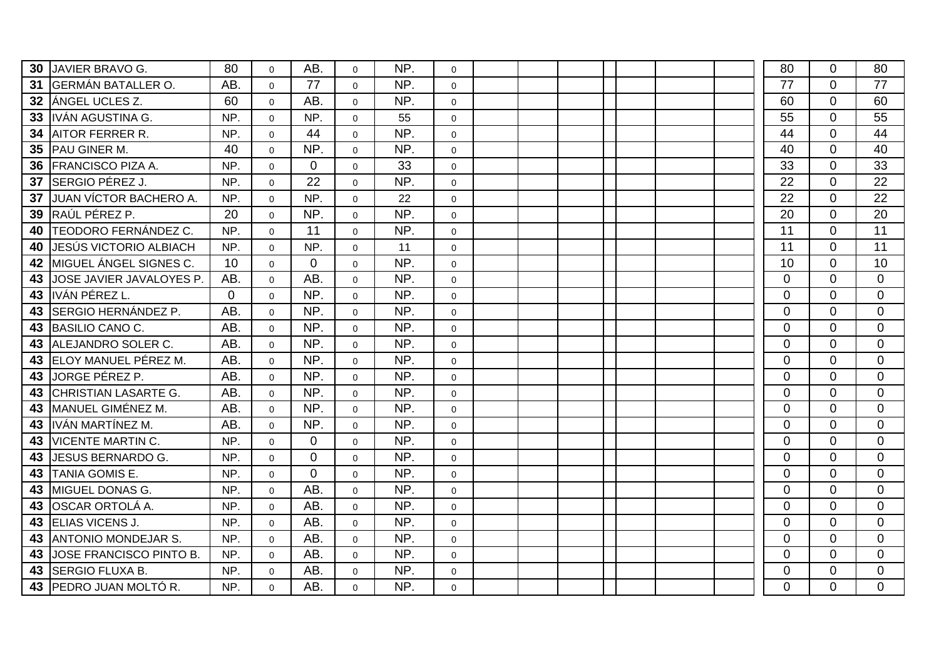| 30 | JAVIER BRAVO G.           | 80          | $\mathbf 0$    | AB.            | $\Omega$       | NP. | $\mathbf 0$         |  |  |  | 80             | $\Omega$       | 80             |
|----|---------------------------|-------------|----------------|----------------|----------------|-----|---------------------|--|--|--|----------------|----------------|----------------|
| 31 | <b>GERMÁN BATALLER O.</b> | AB.         | $\Omega$       | 77             | $\mathbf 0$    | NP. | $\mathbf 0$         |  |  |  | 77             | $\Omega$       | 77             |
| 32 | ANGEL UCLES Z.            | 60          | $\Omega$       | AB.            | $\Omega$       | NP. | $\mathbf 0$         |  |  |  | 60             | $\Omega$       | 60             |
| 33 | IIVÁN AGUSTINA G.         | NP.         | $\mathbf 0$    | NP.            | $\mathbf 0$    | 55  | $\mathbf 0$         |  |  |  | 55             | $\overline{0}$ | 55             |
| 34 | <b>AITOR FERRER R.</b>    | NP.         | $\Omega$       | 44             | $\Omega$       | NP. | $\mathbf 0$         |  |  |  | 44             | $\Omega$       | 44             |
|    | 35 PAU GINER M.           | 40          | $\mathbf{0}$   | NP.            | $\overline{0}$ | NP. | $\mathbf 0$         |  |  |  | 40             | $\overline{0}$ | 40             |
| 36 | <b>IFRANCISCO PIZA A.</b> | NP.         | $\Omega$       | $\overline{0}$ | $\Omega$       | 33  | $\Omega$            |  |  |  | 33             | $\Omega$       | 33             |
| 37 | ISERGIO PÉREZ J.          | NP.         | $\Omega$       | 22             | $\Omega$       | NP. | $\mathbf 0$         |  |  |  | 22             | $\Omega$       | 22             |
| 37 | JUAN VÍCTOR BACHERO A.    | NP.         | $\mathbf 0$    | NP.            | $\mathbf 0$    | 22  | $\mathbf 0$         |  |  |  | 22             | $\Omega$       | 22             |
| 39 | RAÚL PÉREZ P.             | 20          | $\Omega$       | NP.            | $\Omega$       | NP. | $\mathbf{0}$        |  |  |  | 20             | $\Omega$       | 20             |
| 40 | TEODORO FERNÁNDEZ C.      | NP.         | $\Omega$       | 11             | $\overline{0}$ | NP. | $\mathbf 0$         |  |  |  | 11             | $\Omega$       | 11             |
| 40 | JESÚS VICTORIO ALBIACH    | NP.         | $\Omega$       | NP.            | $\Omega$       | 11  | $\mathsf{O}\xspace$ |  |  |  | 11             | $\overline{0}$ | 11             |
| 42 | MIGUEL ÁNGEL SIGNES C.    | 10          | $\Omega$       | $\Omega$       | $\mathbf 0$    | NP. | $\mathbf 0$         |  |  |  | 10             | $\Omega$       | 10             |
| 43 | JOSE JAVIER JAVALOYES P.  | AB.         | $\Omega$       | AB.            | $\mathbf 0$    | NP. | $\mathbf 0$         |  |  |  | $\overline{0}$ | $\Omega$       | $\overline{0}$ |
| 43 | liván PÉREZ L             | $\mathbf 0$ | $\Omega$       | NP.            | $\Omega$       | NP. | $\mathbf 0$         |  |  |  | $\mathbf{0}$   | $\Omega$       | $\overline{0}$ |
| 43 | SERGIO HERNÁNDEZ P.       | AB.         | $\Omega$       | NP.            | $\mathbf 0$    | NP. | $\mathbf 0$         |  |  |  | $\mathbf 0$    | $\overline{0}$ | $\overline{0}$ |
| 43 | <b>BASILIO CANO C.</b>    | AB.         | $\Omega$       | NP.            | $\mathbf{0}$   | NP. | $\mathbf 0$         |  |  |  | $\mathbf 0$    | $\overline{0}$ | $\Omega$       |
|    | 43 ALEJANDRO SOLER C.     | AB.         | $\Omega$       | NP.            | $\mathbf 0$    | NP. | $\mathbf{0}$        |  |  |  | $\mathbf 0$    | $\overline{0}$ | $\overline{0}$ |
|    | 43 ELOY MANUEL PÉREZ M.   | AB.         | $\mathbf 0$    | NP.            | $\mathbf 0$    | NP. | $\mathsf{O}\xspace$ |  |  |  | $\mathbf 0$    | $\overline{0}$ | $\overline{0}$ |
| 43 | JORGE PÉREZ P.            | AB.         | $\Omega$       | NP.            | $\mathbf 0$    | NP. | $\mathbf 0$         |  |  |  | $\mathbf 0$    | $\Omega$       | $\mathbf 0$    |
| 43 | CHRISTIAN LASARTE G.      | AB.         | $\Omega$       | NP.            | $\mathbf 0$    | NP. | $\mathbf 0$         |  |  |  | $\mathbf 0$    | $\overline{0}$ | $\overline{0}$ |
|    | 43   MANUEL GIMÉNEZ M.    | AB.         | $\Omega$       | NP.            | $\mathbf{0}$   | NP. | $\mathbf 0$         |  |  |  | $\Omega$       | $\Omega$       | $\Omega$       |
| 43 | IVÁN MARTÍNEZ M.          | AB.         | $\mathbf 0$    | NP.            | $\overline{0}$ | NP. | $\mathbf 0$         |  |  |  | $\mathbf 0$    | $\Omega$       | $\Omega$       |
| 43 | <b>VICENTE MARTIN C.</b>  | NP.         | $\overline{0}$ | $\mathbf{0}$   | $\mathbf 0$    | NP. | $\mathsf{O}\xspace$ |  |  |  | $\Omega$       | $\Omega$       | $\Omega$       |
| 43 | <b>JESUS BERNARDO G.</b>  | NP.         | $\Omega$       | $\overline{0}$ | $\Omega$       | NP. | $\mathbf 0$         |  |  |  | $\mathbf 0$    | $\Omega$       | $\mathbf 0$    |
| 43 | <b>TANIA GOMIS E.</b>     | NP.         | $\Omega$       | $\mathbf 0$    | $\mathbf 0$    | NP. | $\mathbf 0$         |  |  |  | $\mathbf 0$    | $\overline{0}$ | $\overline{0}$ |
| 43 | <b>I</b> MIGUEL DONAS G.  | NP.         | $\Omega$       | AB.            | $\mathbf 0$    | NP. | $\mathbf 0$         |  |  |  | $\mathbf 0$    | $\Omega$       | $\mathbf 0$    |
| 43 | <b>OSCAR ORTOLÁ A.</b>    | NP.         | $\overline{0}$ | AB.            | $\mathbf 0$    | NP. | $\mathbf 0$         |  |  |  | $\mathbf 0$    | $\overline{0}$ | $\overline{0}$ |
| 43 | <b>ELIAS VICENS J.</b>    | NP.         | $\Omega$       | AB.            | $\Omega$       | NP. | $\mathbf 0$         |  |  |  | $\mathbf 0$    | $\Omega$       | $\Omega$       |
| 43 | ANTONIO MONDEJAR S.       | NP.         | $\Omega$       | AB.            | $\Omega$       | NP. | $\mathbf 0$         |  |  |  | $\mathbf 0$    | $\Omega$       | $\overline{0}$ |
| 43 | JOSE FRANCISCO PINTO B.   | NP.         | $\overline{0}$ | AB.            | $\mathbf 0$    | NP. | $\mathsf{O}\xspace$ |  |  |  | $\mathbf 0$    | $\overline{0}$ | $\mathbf 0$    |
| 43 | SERGIO FLUXA B.           | NP.         | $\Omega$       | AB.            | $\Omega$       | NP. | $\mathbf 0$         |  |  |  | $\mathbf 0$    | $\Omega$       | $\mathbf 0$    |
| 43 | PEDRO JUAN MOLTÓ R.       | NP.         | $\mathbf 0$    | AB.            | $\mathbf 0$    | NP. | $\mathbf 0$         |  |  |  | $\overline{0}$ | $\overline{0}$ | $\overline{0}$ |